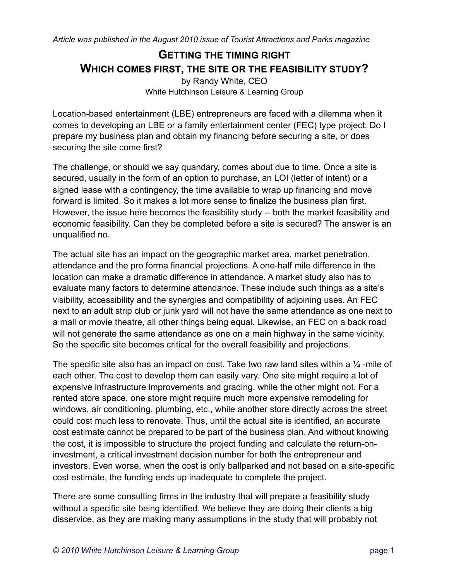## **GETTING THE TIMING RIGHT WHICH COMES FIRST, THE SITE OR THE FEASIBILITY STUDY?** by Randy White, CEO

White Hutchinson Leisure & Learning Group

Location-based entertainment (LBE) entrepreneurs are faced with a dilemma when it comes to developing an LBE or a family entertainment center (FEC) type project: Do I prepare my business plan and obtain my financing before securing a site, or does securing the site come first?

The challenge, or should we say quandary, comes about due to time. Once a site is secured, usually in the form of an option to purchase, an LOI (letter of intent) or a signed lease with a contingency, the time available to wrap up financing and move forward is limited. So it makes a lot more sense to finalize the business plan first. However, the issue here becomes the feasibility study -- both the market feasibility and economic feasibility. Can they be completed before a site is secured? The answer is an unqualified no.

The actual site has an impact on the geographic market area, market penetration, attendance and the pro forma financial projections. A one-half mile difference in the location can make a dramatic difference in attendance. A market study also has to evaluate many factors to determine attendance. These include such things as a site's visibility, accessibility and the synergies and compatibility of adjoining uses. An FEC next to an adult strip club or junk yard will not have the same attendance as one next to a mall or movie theatre, all other things being equal. Likewise, an FEC on a back road will not generate the same attendance as one on a main highway in the same vicinity. So the specific site becomes critical for the overall feasibility and projections.

The specific site also has an impact on cost. Take two raw land sites within a  $\frac{1}{4}$ -mile of each other. The cost to develop them can easily vary. One site might require a lot of expensive infrastructure improvements and grading, while the other might not. For a rented store space, one store might require much more expensive remodeling for windows, air conditioning, plumbing, etc., while another store directly across the street could cost much less to renovate. Thus, until the actual site is identified, an accurate cost estimate cannot be prepared to be part of the business plan. And without knowing the cost, it is impossible to structure the project funding and calculate the return-oninvestment, a critical investment decision number for both the entrepreneur and investors. Even worse, when the cost is only ballparked and not based on a site-specific cost estimate, the funding ends up inadequate to complete the project.

There are some consulting firms in the industry that will prepare a feasibility study without a specific site being identified. We believe they are doing their clients a big disservice, as they are making many assumptions in the study that will probably not